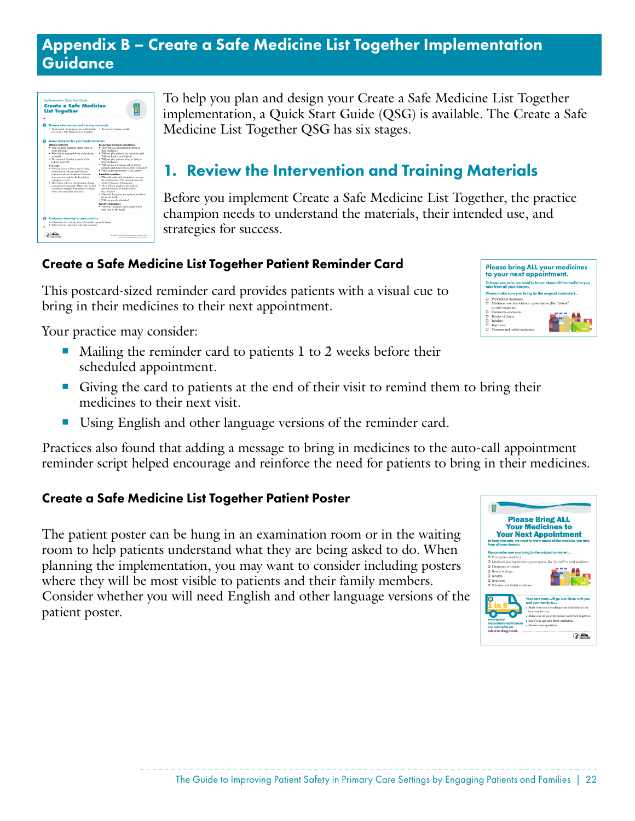### Appendix B – Create a Safe Medicine List Together Implementation **Guidance**

| · Understand the purpose, use, and benefits · Review the training toolkir.<br>of Create a Safe Medicine List Together.<br><b>21-Make decisions for your implementation</b>                                                                                                                                                                                                                                                                                                                                                                                                              |                                                                                                                                                                                                                                                                                                                                                                                                                                                                                                                                                                                                                                                                                                                                                                                                                                             |
|-----------------------------------------------------------------------------------------------------------------------------------------------------------------------------------------------------------------------------------------------------------------------------------------------------------------------------------------------------------------------------------------------------------------------------------------------------------------------------------------------------------------------------------------------------------------------------------------|---------------------------------------------------------------------------------------------------------------------------------------------------------------------------------------------------------------------------------------------------------------------------------------------------------------------------------------------------------------------------------------------------------------------------------------------------------------------------------------------------------------------------------------------------------------------------------------------------------------------------------------------------------------------------------------------------------------------------------------------------------------------------------------------------------------------------------------------|
|                                                                                                                                                                                                                                                                                                                                                                                                                                                                                                                                                                                         |                                                                                                                                                                                                                                                                                                                                                                                                                                                                                                                                                                                                                                                                                                                                                                                                                                             |
|                                                                                                                                                                                                                                                                                                                                                                                                                                                                                                                                                                                         |                                                                                                                                                                                                                                                                                                                                                                                                                                                                                                                                                                                                                                                                                                                                                                                                                                             |
| Obtain meterials<br>· Will you print materials in the office or<br>order printing?<br>· Who will be responsible for maintaining<br>a supele?<br>· Do you need Spanish versions of the<br>patient materials?<br>Set scope<br>· Which patients will you ask to bring<br>in medicines? All patients? Patients<br>with more than 5 medicines? Patients<br>who were recently in the hospital or<br>cmentency room!<br>. How often will you ask patients to bring<br>in medicines? Annually? When they've had<br>a medicine change? When they've sought<br>other care (specialist, hospital)? | Encourage bringing in medicines<br>How will you ask patients to bring in<br>their medicines?<br>· Will you give patients the reminder card?<br>Will you hand it out? Mail it?<br>- Will you give patients a bag to bring in<br>their medicines?<br>· Will you use a reminder call or text to<br>remind patients to bring in their medicines?<br>· Will you put up posters? If yes, where?<br>Establish workflow<br>· Who will work with the patient to create<br>the medicine list? The medical assistant?<br>Nurw? Clinician? Pharmacist?<br>How will the medicine list and any<br>identified issues be handed off to<br>the clinician?<br>· Who will document the updated medicine<br>list in the EHR?<br>· Will you use the checklist?<br><b>Identify champions</b><br>- Who will champion the strategy within<br>each role on the ream! |

To help you plan and design your Create a Safe Medicine List Together implementation, a Quick Start Guide (QSG) is available. The Create a Safe Medicine List Together QSG has six stages.

# 1. Review the Intervention and Training Materials

Before you implement Create a Safe Medicine List Together, the practice champion needs to understand the materials, their intended use, and strategies for success.

### Create a Safe Medicine List Together Patient Reminder Card

This postcard-sized reminder card provides patients with a visual cue to bring in their medicines to their next appointment.

Your practice may consider:

- Mailing the reminder card to patients 1 to 2 weeks before their scheduled appointment.
- Giving the card to patients at the end of their visit to remind them to bring their medicines to their next visit.
- Using English and other language versions of the reminder card.

Practices also found that adding a message to bring in medicines to the auto-call appointment reminder script helped encourage and reinforce the need for patients to bring in their medicines.

#### Create a Safe Medicine List Together Patient Poster

The patient poster can be hung in an examination room or in the waiting room to help patients understand what they are being asked to do. When planning the implementation, you may want to consider including posters where they will be most visible to patients and their family members. Consider whether you will need English and other language versions of the patient poster.





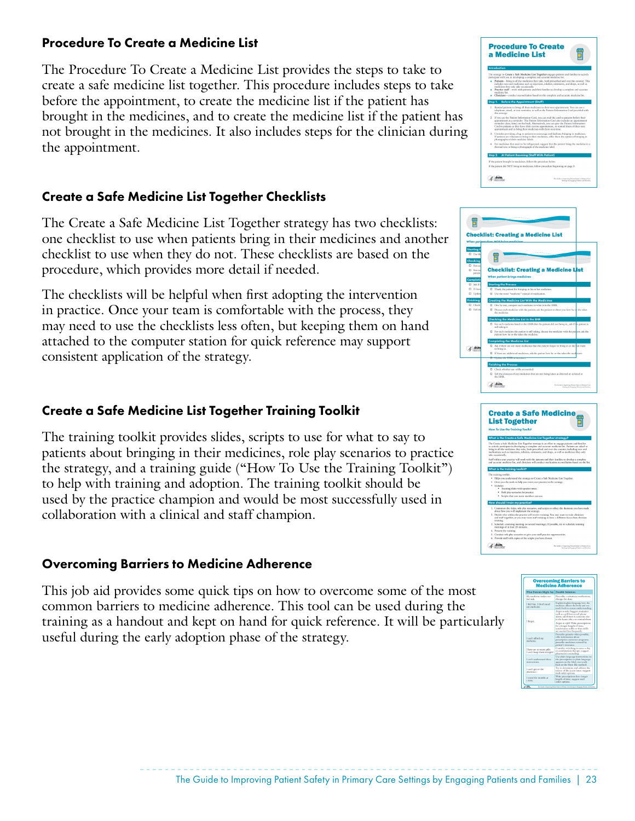#### Procedure To Create a Medicine List

The Procedure To Create a Medicine List provides the steps to take to create a safe medicine list together. This procedure includes steps to take before the appointment, to create the medicine list if the patient has brought in the medicines, and to create the medicine list if the patient has not brought in the medicines. It also includes steps for the clinician during the appointment.

### Create a Safe Medicine List Together Checklists

The Create a Safe Medicine List Together strategy has two checklists: one checklist to use when patients bring in their medicines and another checklist to use when they do not. These checklists are based on the procedure, which provides more detail if needed.

The checklists will be helpful when first adopting the intervention in practice. Once your team is comfortable with the process, they may need to use the checklists less often, but keeping them on hand attached to the computer station for quick reference may support consistent application of the strategy.

### Create a Safe Medicine List Together Training Toolkit

The training toolkit provides slides, scripts to use for what to say to patients about bringing in their medicines, role play scenarios to practice the strategy, and a training guide ("How To Use the Training Toolkit") to help with training and adoption. The training toolkit should be used by the practice champion and would be most successfully used in collaboration with a clinical and staff champion.

#### Overcoming Barriers to Medicine Adherence

This job aid provides some quick tips on how to overcome some of the most common barriers to medicine adherence. This tool can be used during the training as a handout and kept on hand for quick reference. It will be particularly useful during the early adoption phase of the strategy.





| <b></b>                                                                                                                                                                                               |                                                                                                                                   |
|-------------------------------------------------------------------------------------------------------------------------------------------------------------------------------------------------------|-----------------------------------------------------------------------------------------------------------------------------------|
| · Training slides with speaker notes.                                                                                                                                                                 |                                                                                                                                   |
| · Role play scenarios for practice.                                                                                                                                                                   |                                                                                                                                   |
| · Scripts that care team members can use.                                                                                                                                                             |                                                                                                                                   |
| How should I train my practice?                                                                                                                                                                       |                                                                                                                                   |
| about how you will implement the strategy.                                                                                                                                                            | 1. Customize the slides, role play seenarios, and scripts to reflect the decisions you have made                                  |
| 2. Decide who within the practice will receive training. You may want to train clinicians<br>and staff together, or you may want staff training to have a different focus than clinician<br>training. |                                                                                                                                   |
| 3. Schedule a training meeting (or several meetings). If possible, try to schedule training<br>meetings of at least 15 minutes.                                                                       |                                                                                                                                   |
| 4. Present the training.                                                                                                                                                                              |                                                                                                                                   |
| 5. Conduct role play seematios to give your staff practice opportunities.                                                                                                                             |                                                                                                                                   |
| 6. Provide staff with copies of the scripts you have chosen.                                                                                                                                          |                                                                                                                                   |
|                                                                                                                                                                                                       | The Guide to Improving Patient Selett in Primers Care<br>All residence that a discussion of the second control of the second con- |

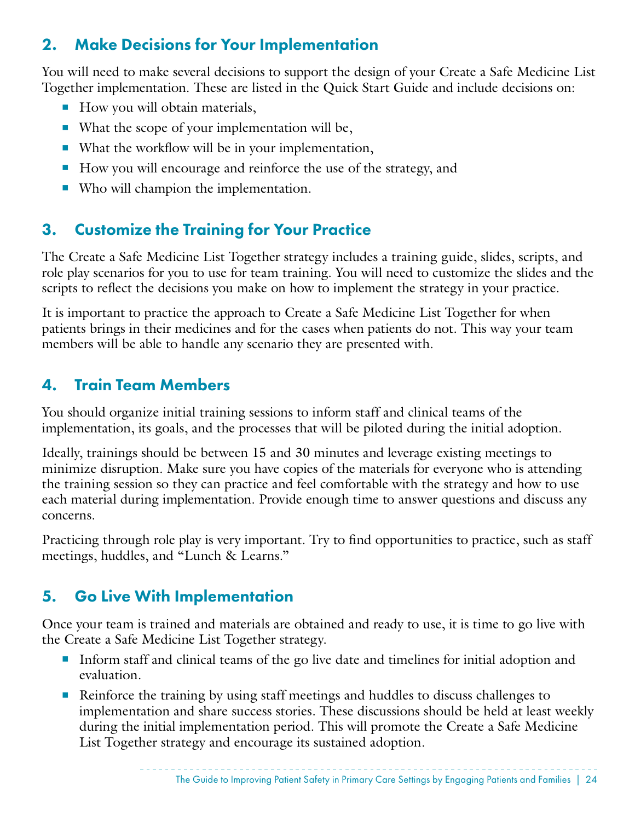## 2. Make Decisions for Your Implementation

You will need to make several decisions to support the design of your Create a Safe Medicine List Together implementation. These are listed in the Quick Start Guide and include decisions on:

- How you will obtain materials,
- What the scope of your implementation will be,
- What the workflow will be in your implementation,
- How you will encourage and reinforce the use of the strategy, and
- Who will champion the implementation.

# 3. Customize the Training for Your Practice

The Create a Safe Medicine List Together strategy includes a training guide, slides, scripts, and role play scenarios for you to use for team training. You will need to customize the slides and the scripts to reflect the decisions you make on how to implement the strategy in your practice.

It is important to practice the approach to Create a Safe Medicine List Together for when patients brings in their medicines and for the cases when patients do not. This way your team members will be able to handle any scenario they are presented with.

## 4. Train Team Members

You should organize initial training sessions to inform staff and clinical teams of the implementation, its goals, and the processes that will be piloted during the initial adoption.

Ideally, trainings should be between 15 and 30 minutes and leverage existing meetings to minimize disruption. Make sure you have copies of the materials for everyone who is attending the training session so they can practice and feel comfortable with the strategy and how to use each material during implementation. Provide enough time to answer questions and discuss any concerns.

Practicing through role play is very important. Try to find opportunities to practice, such as staff meetings, huddles, and "Lunch & Learns."

# 5. Go Live With Implementation

Once your team is trained and materials are obtained and ready to use, it is time to go live with the Create a Safe Medicine List Together strategy.

- Inform staff and clinical teams of the go live date and timelines for initial adoption and evaluation.
- Reinforce the training by using staff meetings and huddles to discuss challenges to implementation and share success stories. These discussions should be held at least weekly during the initial implementation period. This will promote the Create a Safe Medicine List Together strategy and encourage its sustained adoption.